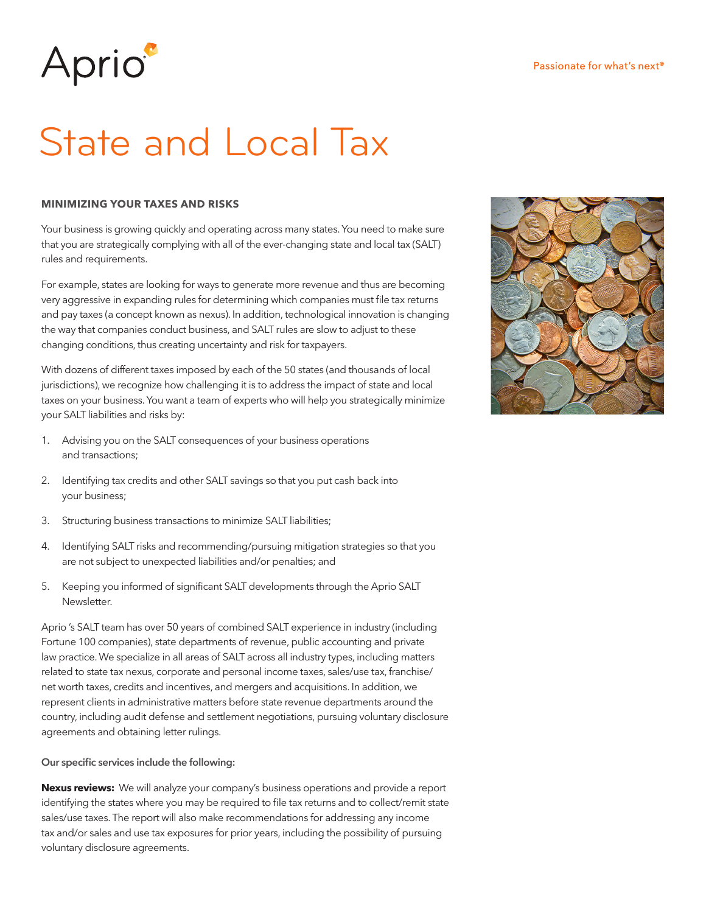# Aprio<sup>®</sup>

## State and Local Tax

#### **MINIMIZING YOUR TAXES AND RISKS**

Your business is growing quickly and operating across many states. You need to make sure that you are strategically complying with all of the ever-changing state and local tax (SALT) rules and requirements.

For example, states are looking for ways to generate more revenue and thus are becoming very aggressive in expanding rules for determining which companies must file tax returns and pay taxes (a concept known as nexus). In addition, technological innovation is changing the way that companies conduct business, and SALT rules are slow to adjust to these changing conditions, thus creating uncertainty and risk for taxpayers.

With dozens of different taxes imposed by each of the 50 states (and thousands of local jurisdictions), we recognize how challenging it is to address the impact of state and local taxes on your business. You want a team of experts who will help you strategically minimize your SALT liabilities and risks by:

- 1. Advising you on the SALT consequences of your business operations and transactions;
- 2. Identifying tax credits and other SALT savings so that you put cash back into your business;
- 3. Structuring business transactions to minimize SALT liabilities;
- 4. Identifying SALT risks and recommending/pursuing mitigation strategies so that you are not subject to unexpected liabilities and/or penalties; and
- 5. Keeping you informed of significant SALT developments through the Aprio SALT Newsletter.

Aprio 's SALT team has over 50 years of combined SALT experience in industry (including Fortune 100 companies), state departments of revenue, public accounting and private law practice. We specialize in all areas of SALT across all industry types, including matters related to state tax nexus, corporate and personal income taxes, sales/use tax, franchise/ net worth taxes, credits and incentives, and mergers and acquisitions. In addition, we represent clients in administrative matters before state revenue departments around the country, including audit defense and settlement negotiations, pursuing voluntary disclosure agreements and obtaining letter rulings.

**Our specific services include the following:**

**Nexus reviews:** We will analyze your company's business operations and provide a report identifying the states where you may be required to file tax returns and to collect/remit state sales/use taxes. The report will also make recommendations for addressing any income tax and/or sales and use tax exposures for prior years, including the possibility of pursuing voluntary disclosure agreements.